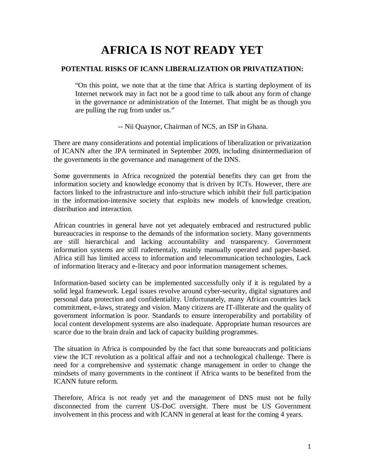## **AFRICA IS NOT READY YET**

## **POTENTIAL RISKS OF ICANN LIBERALIZATION OR PRIVATIZATION:**

"On this point, we note that at the time that Africa is starting deployment of its Internet network may in fact not be a good time to talk about any form of change in the governance or administration of the Internet. That might be as though you are pulling the rug from under us."

-- Nii Quaynor, Chairman of NCS, an ISP in Ghana.

There are many considerations and potential implications of liberalization or privatization of ICANN after the JPA terminated in September 2009, including disintermediation of the governments in the governance and management of the DNS.

Some governments in Africa recognized the potential benefits they can get from the information society and knowledge economy that is driven by ICTs. However, there are factors linked to the infrastructure and info-structure which inhibit their full participation in the information-intensive society that exploits new models of knowledge creation, distribution and interaction.

African countries in general have not yet adequately embraced and restructured public bureaucracies in response to the demands of the information society. Many governments are still hierarchical and lacking accountability and transparency. Government information systems are still rudementaly, mainly manually operated and paper-based. Africa still has limited access to information and telecommunication technologies, Lack of information literacy and e-literacy and poor information management schemes.

Information-based society can be implemented successfully only if it is regulated by a solid legal framework. Legal issues revolve around cyber-security, digital signatures and personal data protection and confidentiality. Unfortunately, many African countries lack commitment, e-laws, strategy and vision. Many citizens are IT-illiterate and the quality of government information is poor. Standards to ensure interoperability and portability of local content development systems are also inadequate. Appropriate human resources are scarce due to the brain drain and lack of capacity building programmes.

The situation in Africa is compounded by the fact that some bureaucrats and politicians view the ICT revolution as a political affair and not a technological challenge. There is need for a comprehensive and systematic change management in order to change the mindsets of many governments in the continent if Africa wants to be benefited from the ICANN future reform.

Therefore, Africa is not ready yet and the management of DNS must not be fully disconnected from the current US-DoC oversight. There must be US Government involvement in this process and with ICANN in general at least for the coming 4 years.